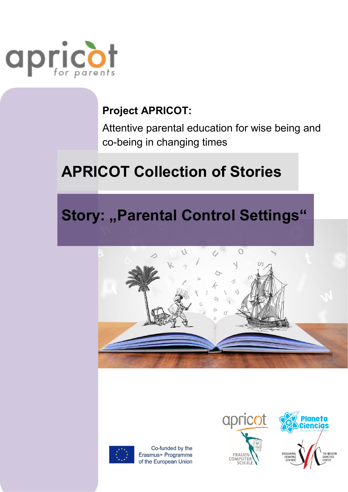

### **Project APRICOT:**

Attentive parental education for wise being and co-being in changing times

# **APRICOT Collection of Stories**

## **Story: "Parental Control Settings"**





Co-funded by the Erasmus+ Programme of the European Union



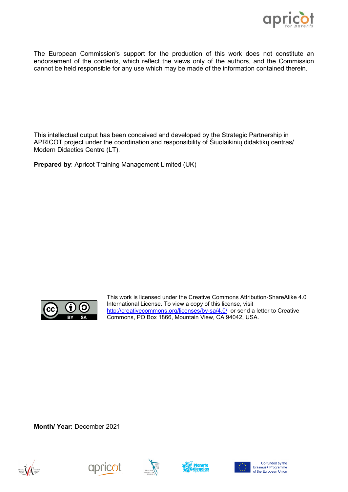

The European Commission's support for the production of this work does not constitute an endorsement of the contents, which reflect the views only of the authors, and the Commission cannot be held responsible for any use which may be made of the information contained therein.

This intellectual output has been conceived and developed by the Strategic Partnership in APRICOT project under the coordination and responsibility of Šiuolaikinių didaktikų centras/ Modern Didactics Centre (LT).

**Prepared by**: Apricot Training Management Limited (UK)



This work is licensed under the Creative Commons Attribution-ShareAlike 4.0 International License. To view a copy of this license, visit [http://creativecommons.org/licenses/by](http://creativecommons.org/licenses/by-sa/4.0/)-sa/4.0/ or send a letter to Creative Commons, PO Box 1866, Mountain View, CA 94042, USA.

**Month/ Year:** December 2021









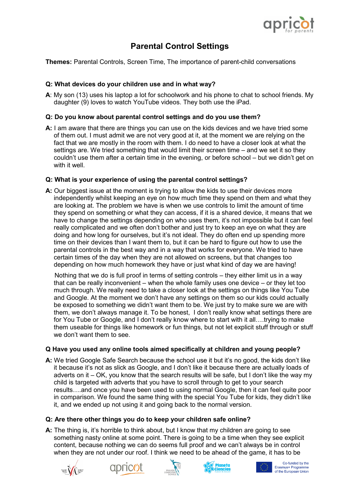

### **Parental Control Settings**

**Themes:** Parental Controls, Screen Time, The importance of parent-child conversations

#### **Q: What devices do your children use and in what way?**

**A**: My son (13) uses his laptop a lot for schoolwork and his phone to chat to school friends. My daughter (9) loves to watch YouTube videos. They both use the iPad.

#### **Q: Do you know about parental control settings and do you use them?**

**A:** I am aware that there are things you can use on the kids devices and we have tried some of them out. I must admit we are not very good at it, at the moment we are relying on the fact that we are mostly in the room with them. I do need to have a closer look at what the settings are. We tried something that would limit their screen time – and we set it so they couldn't use them after a certain time in the evening, or before school – but we didn't get on with it well.

#### **Q: What is your experience of using the parental control settings?**

**A:** Our biggest issue at the moment is trying to allow the kids to use their devices more independently whilst keeping an eye on how much time they spend on them and what they are looking at. The problem we have is when we use controls to limit the amount of time they spend on something or what they can access, if it is a shared device, it means that we have to change the settings depending on who uses them, it's not impossible but it can feel really complicated and we often don't bother and just try to keep an eye on what they are doing and how long for ourselves, but it's not ideal. They do often end up spending more time on their devices than I want them to, but it can be hard to figure out how to use the parental controls in the best way and in a way that works for everyone. We tried to have certain times of the day when they are not allowed on screens, but that changes too depending on how much homework they have or just what kind of day we are having!

 Nothing that we do is full proof in terms of setting controls – they either limit us in a way that can be really inconvenient – when the whole family uses one device – or they let too much through. We really need to take a closer look at the settings on things like You Tube and Google. At the moment we don't have any settings on them so our kids could actually be exposed to something we didn't want them to be. We just try to make sure we are with them, we don't always manage it. To be honest, I don't really know what settings there are for You Tube or Google, and I don't really know where to start with it all….trying to make them useable for things like homework or fun things, but not let explicit stuff through or stuff we don't want them to see.

#### **Q Have you used any online tools aimed specifically at children and young people?**

**A:** We tried Google Safe Search because the school use it but it's no good, the kids don't like it because it's not as slick as Google, and I don't like it because there are actually loads of adverts on it – OK, you know that the search results will be safe, but I don't like the way my child is targeted with adverts that you have to scroll through to get to your search results….and once you have been used to using normal Google, then it can feel quite poor in comparison. We found the same thing with the special You Tube for kids, they didn't like it, and we ended up not using it and going back to the normal version.

#### **Q: Are there other things you do to keep your children safe online?**

**A:** The thing is, it's horrible to think about, but I know that my children are going to see something nasty online at some point. There is going to be a time when they see explicit content, because nothing we can do seems full proof and we can't always be in control when they are not under our roof. I think we need to be ahead of the game, it has to be











Co-funded by the Erasmus+ Programme<br>of the European Union